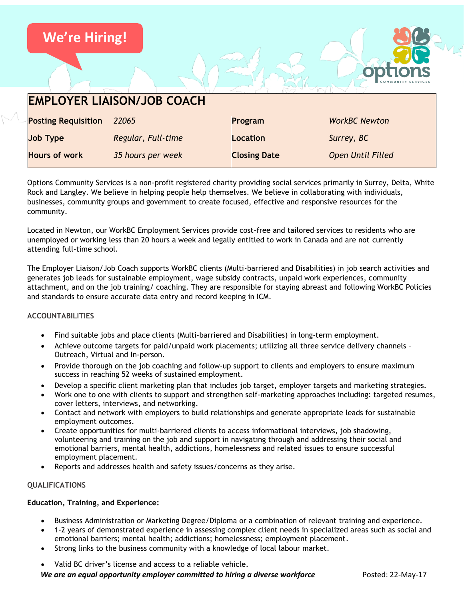

| <b>Hours of work</b> | 35 hours per week                                                                                             | <b>Closing Date</b> | <b>Open Until Filled</b>                                                                                                  |
|----------------------|---------------------------------------------------------------------------------------------------------------|---------------------|---------------------------------------------------------------------------------------------------------------------------|
|                      |                                                                                                               |                     | Options Community Services is a non-profit registered charity providing social services primarily in Surrey, Delta, White |
|                      | Rock and Langley. We believe in helping people help themselves. We believe in collaborating with individuals, |                     |                                                                                                                           |
|                      | businesses, community groups and government to create focused, effective and responsive resources for the     |                     |                                                                                                                           |

Located in Newton, our WorkBC Employment Services provide cost-free and tailored services to residents who are unemployed or working less than 20 hours a week and legally entitled to work in Canada and are not currently attending full-time school.

The Employer Liaison/Job Coach supports WorkBC clients (Multi-barriered and Disabilities) in job search activities and generates job leads for sustainable employment, wage subsidy contracts, unpaid work experiences, community attachment, and on the job training/ coaching. They are responsible for staying abreast and following WorkBC Policies and standards to ensure accurate data entry and record keeping in ICM.

### **ACCOUNTABILITIES**

community.

- Find suitable jobs and place clients (Multi-barriered and Disabilities) in long-term employment.
- Achieve outcome targets for paid/unpaid work placements; utilizing all three service delivery channels Outreach, Virtual and In-person.
- Provide thorough on the job coaching and follow-up support to clients and employers to ensure maximum success in reaching 52 weeks of sustained employment.
- Develop a specific client marketing plan that includes job target, employer targets and marketing strategies.
- Work one to one with clients to support and strengthen self-marketing approaches including: targeted resumes, cover letters, interviews, and networking.
- Contact and network with employers to build relationships and generate appropriate leads for sustainable employment outcomes.
- Create opportunities for multi-barriered clients to access informational interviews, job shadowing, volunteering and training on the job and support in navigating through and addressing their social and emotional barriers, mental health, addictions, homelessness and related issues to ensure successful employment placement.
- Reports and addresses health and safety issues/concerns as they arise.

## **QUALIFICATIONS**

### **Education, Training, and Experience:**

- Business Administration or Marketing Degree/Diploma or a combination of relevant training and experience.
- 1-2 years of demonstrated experience in assessing complex client needs in specialized areas such as social and emotional barriers; mental health; addictions; homelessness; employment placement.
- Strong links to the business community with a knowledge of local labour market.
- Valid BC driver's license and access to a reliable vehicle.

*We are an equal opportunity employer committed to hiring a diverse workforce* **Posted: 22-May-17**